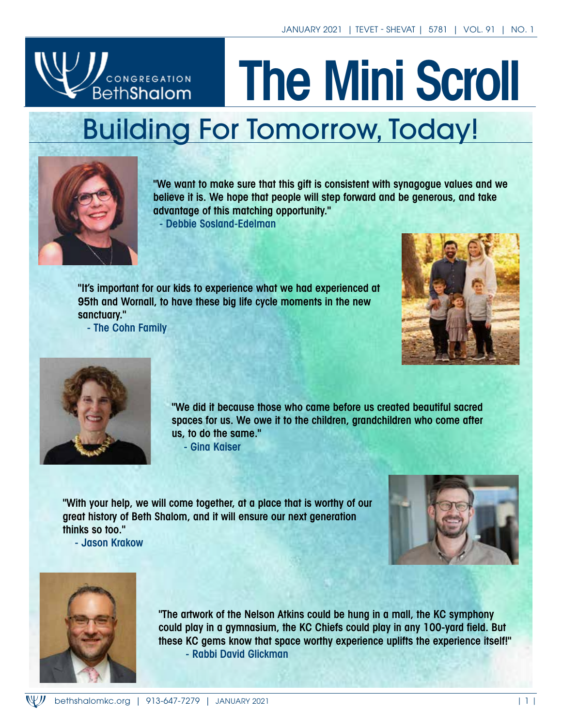# **JU** CONGREGATION The Mini Scroll Building For Tomorrow, Today!



"We want to make sure that this gift is consistent with synagogue values and we believe it is. We hope that people will step forward and be generous, and take advantage of this matching opportunity."

- Debbie Sosland-Edelman

"It's important for our kids to experience what we had experienced at 95th and Wornall, to have these big life cycle moments in the new sanctuary."

- The Cohn Family





"We did it because those who came before us created beautiful sacred spaces for us. We owe it to the children, grandchildren who come after us, to do the same."

- Gina Kaiser

"With your help, we will come together, at a place that is worthy of our great history of Beth Shalom, and it will ensure our next generation thinks so too." - Jason Krakow





"The artwork of the Nelson Atkins could be hung in a mall, the KC symphony could play in a gymnasium, the KC Chiefs could play in any 100-yard field. But these KC gems know that space worthy experience uplifts the experience itself!" - Rabbi David Glickman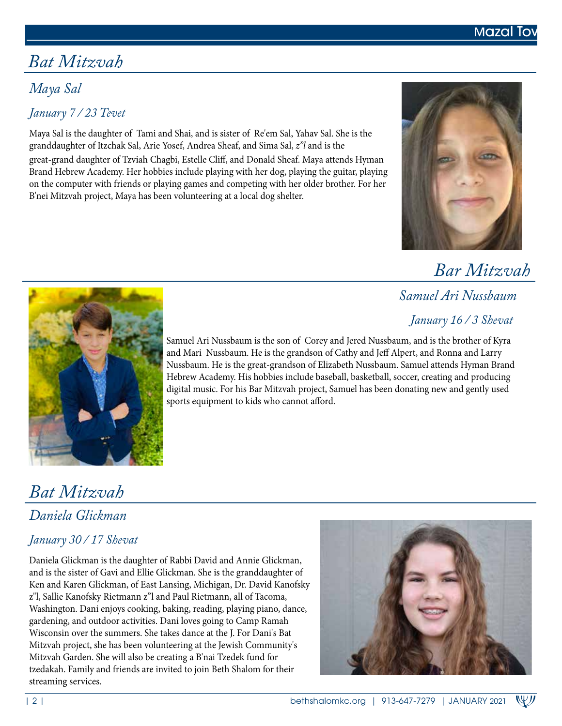

# *Bat Mitzvah*

## *Maya Sal*

### *January 7 / 23 Tevet*

Maya Sal is the daughter of Tami and Shai, and is sister of Re'em Sal, Yahav Sal. She is the granddaughter of Itzchak Sal, Arie Yosef, Andrea Sheaf, and Sima Sal, *z"l* and is the great-grand daughter of Tzviah Chagbi, Estelle Cliff, and Donald Sheaf. Maya attends Hyman Brand Hebrew Academy. Her hobbies include playing with her dog, playing the guitar, playing on the computer with friends or playing games and competing with her older brother. For her B'nei Mitzvah project, Maya has been volunteering at a local dog shelter.



 *Bar Mitzvah*

 *Samuel Ari Nussbaum*

 *January 16 / 3 Shevat*



Samuel Ari Nussbaum is the son of Corey and Jered Nussbaum, and is the brother of Kyra and Mari Nussbaum. He is the grandson of Cathy and Jeff Alpert, and Ronna and Larry Nussbaum. He is the great-grandson of Elizabeth Nussbaum. Samuel attends Hyman Brand Hebrew Academy. His hobbies include baseball, basketball, soccer, creating and producing digital music. For his Bar Mitzvah project, Samuel has been donating new and gently used sports equipment to kids who cannot afford.

# *Bat Mitzvah*

## *Daniela Glickman*

### *January 30 / 17 Shevat*

Daniela Glickman is the daughter of Rabbi David and Annie Glickman, and is the sister of Gavi and Ellie Glickman. She is the granddaughter of Ken and Karen Glickman, of East Lansing, Michigan, Dr. David Kanofsky z"l, Sallie Kanofsky Rietmann z"l and Paul Rietmann, all of Tacoma, Washington. Dani enjoys cooking, baking, reading, playing piano, dance, gardening, and outdoor activities. Dani loves going to Camp Ramah Wisconsin over the summers. She takes dance at the J. For Dani's Bat Mitzvah project, she has been volunteering at the Jewish Community's Mitzvah Garden. She will also be creating a B'nai Tzedek fund for tzedakah. Family and friends are invited to join Beth Shalom for their streaming services.

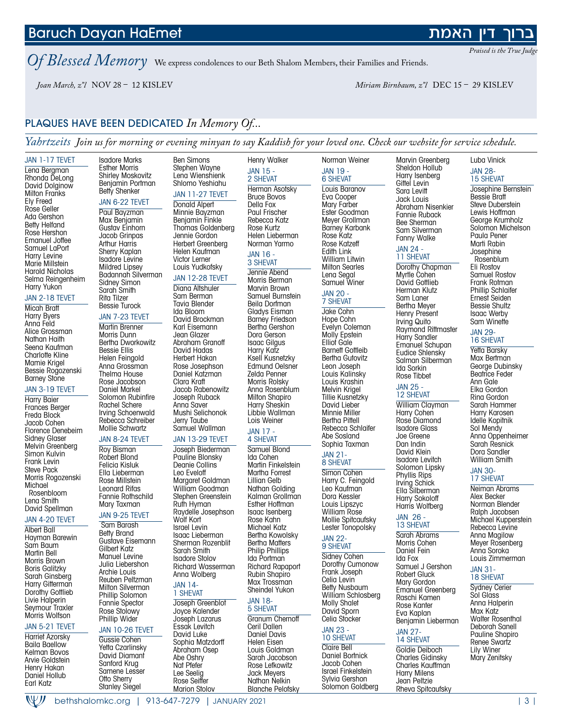### bethshalomkc.org | 913-647-7279 | JANUARY 2021 | 3 |

W)

*Praised is the True Judge* 

דיו האמת

### *Of Blessed Memory* We express condolences to our Beth Shalom Members, their Families and Friends.

```
 Joan March, z"l NOV 28 – 12 KISLEV Miriam Birnbaum, z"l DEC 15 – 29 KISLEV
```
### PLAQUES HAVE BEEN DEDICATED *In Memory Of...*

*Yahrtzeits Join us for morning or evening minyan to say Kaddish for your loved one. Check our website for service schedule.*

#### JAN 1-17 TEVET Lena Bergman Rhonda DeLong David Dolginow Milton Franks Ely Freed Rose Geller Ada Gershon Betty Helfand Rose Hershon Emanuel Joffee Samuel LaPort Harry Levine Marie Millstein Harold Nicholas Selma Reingenheim Harry Yukon JAN 2-18 TEVET Micah Bratt Harry Byers Anna Feld Alice Grossman Nathan Haith Seena Kaufman Charlotte Kline Mamie Krigel Bessie Rogozenski Barney Stone JAN 3-19 TEVET Harry Baier Frances Berger Freda Block Jacob Cohen Florence Denebeim Sidney Glaser Melvin Greenberg Simon Kulvin Frank Levin Steve Pack Morris Rogozenski **Michael** Rosenbloom Lena Smith David Spellman JAN 4-20 TEVET Albert Ball Hayman Barewin Sam Baum Martin Bell Morris Brown Boris Galitzky Sarah Ginsberg Harry Gitterman Dorothy Gottlieb Isadore Marks Esther Morris Shirley Moskovitz Benjamin Portman Betty Shenker JAN 6-22 TEVET Paul Bayzman Max Benjamin Gustav Einhorn Jacob Grinpas Arthur Harris Sherry Kaplan Isadore Levine Mildred Lipsey Badannah Silverman Sidney Simon Sarah Smith Rita Tilzer Bessie Turock JAN 7-23 TEVET Martin Brenner Morris Dunn Bertha Dworkowitz Bessie Ellis Helen Feingold Anna Grossman Thelma House Rose Jacobson Daniel Markel Solomon Rubinfire Rachel Schere Irving Schoenwald Rebecca Schreiber Mollie Schwartz JAN 8-24 TEVET Roy Bisman Robert Blond Felicia Kisluk Ella Lieberman Rose Millstein Leonard Rifas Fannie Rothschild Mary Taxman JAN 9-25 TEVET Sam Barash Betty Brand Gustave Eisemann Gilbert Katz Manuel Levine Julia Liebershon Archie Louis Reuben Peltzman Milton Silverman Ben Simons Stephen Wayne Lena Wienshienk Shlomo Yeshiahu JAN 11-27 TEVET Donald Alpert Minnie Bayzman Benjamin Finkle Thomas Goldenberg Jennie Gordon Herbert Greenberg Helen Kaufman Victor Lerner Louis Yudkofsky JAN 12-28 TEVET Diana Altshuler Sam Berman Tavia Blender Ida Bloom David Brockman Karl Eisemann Jean Glazer Abraham Granoff David Hadas Herbert Hakan Rose Josephson Daniel Katzman Clara Kraft Jacob Rabenowitz Joseph Ruback Anna Saver Mushi Selichonok Jerry Taube Samuel Wallman JAN 13-29 TEVET Joseph Biederman Pauline Blonsky Deanie Collins Leo Eveloff Margaret Goldman William Goodman Stephen Greenstein Ruth Hyman Raydelle Josephson Wolf Kort Israel Levin Isaac Lieberman Sherman Rozenblit Sarah Smith Isadore Stolov Richard Wasserman Anna Wolberg JAN 14- Henry Walker JAN 15 - 2 SHEVAT Herman Asotsky Bruce Bovos Della Fox Paul Frischer Rebecca Katz Rose Kurtz Helen Lieberman Norman Yarmo JAN 16 - 3 SHEVAT Jennie Abend Morris Berman Marvin Brown Samuel Burnstein Beila Dorfman Gladys Eisman Barney Friedson Bertha Gershon Dora Gerson Isaac Gilgus Harry Katz Ksell Kusnetzky Edmund Oelsner Zelda Penner Morris Rolsky Anna Rosenblum Milton Shapiro Harry Sheskin Libbie Wallman Lois Weiner JAN 17 - 4 SHEVAT Samuel Blond Ida Cohen Martin Finkelstein Martha Forrest Lillian Gelb Nathan Golding Kalman Grollman Esther Hoffman Isaac Isenberg Rose Kahn Michael Katz Bertha Kowolsky Bertha Matters Philip Phillips Ida Portman Richard Rapaport Rubin Shapiro Max Trossman Sheindel Yukon Norman Weiner JAN 19 - 6 SHEVAT Louis Baranov Eva Cooper Mary Farber Ester Goodman Meyer Grollman Barney Karbank Rose Katz Rose Katzeff Edith Link William Litwin Milton Searles Lena Segal Samuel Winer JAN 20 - 7 SHEVAT Jake Cohn Hope Cohn Evelyn Coleman Molly Epstein Elliot Gale **Barnett Gottleib** Bertha Gutovitz Leon Joseph Louis Kalinsky Louis Krashin Melvin Krigel Tillie Kusnetzky David Lieber Minnie Miller Bertha Pittell Rebecca Schlaifer Abe Sosland Sophia Taxman JAN 21- 8 SHEVAT Simon Cohen Harry C. Feingold Leo Kaufman Dora Kessler Louis Lipszyc William Rose Mollie Spitcaufsky Lester Tonopolsky JAN 22- 9 SHEVAT **Sidney Cohen** Dorothy Cumonow Frank Joseph Celia Levin Betty Nusbaum Marvin Greenberg Sheldon Hollub Harry Isenberg Gittel Levin Sara Levitt Jack Louis Fannie Ruback Bee Sherman Sam Silverman Fanny Walke JAN 24 - 11 SHEVAT Dorothy Chapman Myrtle Cohen David Gottlieb Herman Klutz Sam Laner Bertha Meyer Henry Present Irving Quito Harry Sandler Ida Sorkin Rose Tibbet JAN 25 - 12 SHEVAT Harry Cohen Rose Diamond Isadore Glass Joe Greene Dan Indin David Klein Isadore Levitch Phyllis Rips Irving Schick Ella Silberman Harry Sokoloff Harris Wolfberg JAN 26 - 13 SHEVAT Sarah Abrams Morris Cohen Daniel Fein Ida Fox Robert Gluck Mary Gordon

### JAN 5-21 TEVET

Harriet Azorsky Baila Baellow Kelman Bovos Arvie Goldstein Henry Hakan Daniel Hollub Earl Katz

Livie Halperin Seymour Traxler Morris Wolfson



Yetta Czarlinsky David Diamant Sanford Krug Samene Lesser Otto Sherry Stanley Siegel

### 1 SHEVAT

JAN 18- 5 SHEVAT Granum Chernoff Ceril Dallen Daniel Davis Helen Eisen Louis Goldman Sarah Jacobson Rose Lefkowitz Jack Meyers Nathan Nelkin Blanche Pelofsky

Joseph Greenblot Joyce Kalender Joseph Lazarus Essak Levitch David Luke Sophia Matzdorff Abraham Osep Abe Oshry Nat Pfefer Lee Seelig

Rose Seiffer Marion Stolov William Schlosberg Molly Shalet David Sporn Celia Stocker

#### JAN 23 - 10 SHEVAT

Claire Bell Daniel Bortnick Jacob Cohen Israel Finkelstein Sylvia Gershon Solomon Goldberg Abraham Nisenkier

Raymond Rittmaster Emanuel Schupan Eudice Shlensky Salman Silberman

William Clayman Solomon Lipsky

Samuel J Gershon Emanuel Greenberg Raschi Kamen Rose Kanter Eva Kaplan Benjamin Lieberman JAN 27-

### 14 SHEVAT

Goldie Deiboch Charles Gidinsky Charles Kauffman Harry Milens Jean Peltzie Rheva Spitcaufsky Luba Vinick JAN 28- 15 SHEVAT

Josephine Bernstein Bessie Bratt Steve Duberstein Lewis Hoffman George Krumholz Solomon Michelson Paula Pener Marti Rabin Josephine Rosenblum Eli Rostov Samuel Rostov Frank Rotman Phillip Schlaifer Ernest Seiden Bessie Shultz Isaac Werby Sam Winette

#### JAN 29- 16 SHEVAT

Yetta Barsky Max Bertman George Dubinsky Beatrice Feder Ann Gale Elka Gordon Rina Gordon Sarah Hammer Harry Karosen Idelle Kopitnik Sol Mendy Anna Oppenheimer Sarah Resnick Dora Sandler William Smith

#### JAN 30- 17 SHEVAT

Neiman Abrams Alex Becker Norman Blender Ralph Jacobsen Michael Kupperstein Rebecca Levine Anna Magilow Meyer Rosenberg Anna Soroka Louis Zimmerman

#### JAN 31- 18 SHEVAT

Sydney Cerier Sol Glass Anna Halperin Max Katz Walter Rosenthal Deborah Sanell Pauline Shapiro Renee Swartz Lily Winer Mary Zenitsky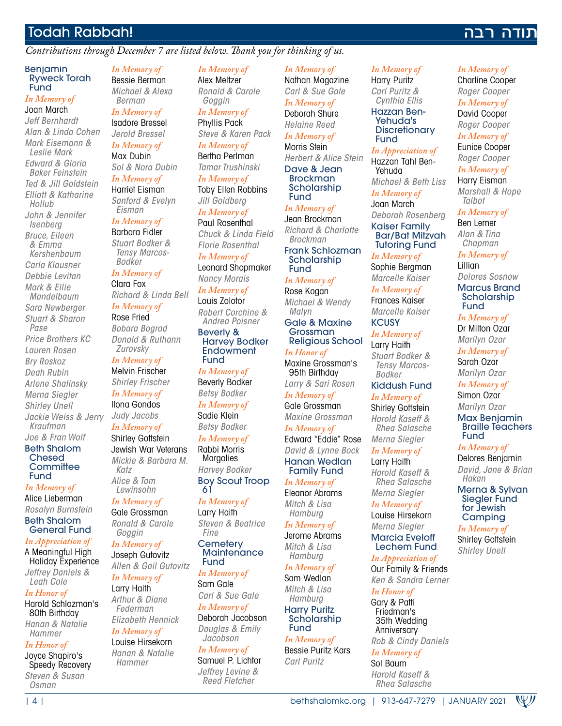### Todah Rabbah!

### *Contributions through December 7 are listed below. Thank you for thinking of us.*

#### Benjamin Ryweck Torah **Fund**

### *In Memory of*

Joan March *Jeff Bernhardt Alan & Linda Cohen Mark Eisemann & Leslie Mark Edward & Gloria Baker Feinstein Ted & Jill Goldstein Elliott & Katharine Hollub John & Jennifer Isenberg Bruce, Eileen & Emma Kershenbaum Carla Klausner Debbie Levitan Mark & Ellie Mandelbaum Sara Newberger Stuart & Sharon Pase Price Brothers KC Lauren Rosen Bry Roskoz Deah Rubin Arlene Shalinsky Merna Siegler Shirley Unell Jackie Weiss & Jerry Kraufman Joe & Fran Wolf*

### Beth Shalom Chesed **Committee** Fund

*In Memory of* Alice Lieberman *Rosalyn Burnstein* Beth Shalom General Fund

*In Appreciation of* A Meaningful High Holiday Experience *Jeffrey Daniels & Leah Cole*

### *In Honor of* Harold Schlozman's

80th Birthday *Hanan & Natalie Hammer*

### *In Honor of*

Joyce Shapiro's Speedy Recovery *Steven & Susan Osman*

*In Memory of* Bessie Berman *Michael & Alexa Berman*

### *In Memory of* Isadore Bressel

*Jerold Bressel In Memory of* Max Dubin

*Sol & Nora Dubin In Memory of* Harriet Eisman

*Sanford & Evelyn Eisman In Memory of*

### Barbara Fidler

*Stuart Bodker & Tensy Marcos-Bodker*

*In Memory of* Clara Fox *Richard & Linda Bell In Memory of*

Rose Fried *Bobara Bograd Donald & Ruthann Zurovsky*

*In Memory of* Melvin Frischer *Shirley Frischer*

*In Memory of* Ilona Gondos *Judy Jacobs*

*In Memory of* **Shirley Gottstein** Jewish War Veterans *Mickie & Barbara M. Katz Alice & Tom Lewinsohn*

*In Memory of* Gale Grossman *Ronald & Carole Goggin*

*In Memory of* Joseph Gutovitz *Allen & Gail Gutovitz*

*In Memory of* Larry Haith *Arthur & Diane Federman*

#### *Elizabeth Hennick In Memory of*

Louise Hirsekorn *Hanan & Natalie Hammer*

*In Memory of* Alex Meltzer *Ronald & Carole Goggin*

*In Memory of* Phyllis Pack *Steve & Karen Pack*

*In Memory of* Bertha Perlman *Tamar Trushinski*

*In Memory of* Toby Ellen Robbins *Jill Goldberg*

*In Memory of* Paul Rosenthal *Chuck & Linda Field Florie Rosenthal In Memory of* Leonard Shopmaker *Nancy Morais*

*In Memory of* Louis Zolotor *Robert Corchine & Andrea Poisner*

Beverly & Harvey Bodker **Endowment** Fund

*In Memory of* Beverly Bodker *Betsy Bodker In Memory of* Sadie Klein *Betsy Bodker In Memory of* Rabbi Morris **Margolies** *Harvey Bodker*

Boy Scout Troop 61

*In Memory of* Larry Haith *Steven & Beatrice Fine*

**Cemetery Maintenance** Fund

### *In Memory of* Sam Gale *Carl & Sue Gale In Memory of* Deborah Jacobson *Douglas & Emily*

*Jacobson In Memory of* Samuel P. Lichtor *Jeffrey Levine & Reed Fletcher*

*In Memory of* Nathan Magazine *Carl & Sue Gale In Memory of*

Deborah Shure *Helaine Reed In Memory of*

Morris Stein *Herbert & Alice Stein* Dave & Jean Brockman **Scholarship** Fund

*In Memory of* Jean Brockman *Richard & Charlotte Brockman* Frank Schlozman Scholarship Fund

*In Memory of* Rose Kogan *Michael & Wendy Malyn*

Gale & Maxine Grossman Religious School

*In Honor of* Maxine Grossman's 95th Birthday *Larry & Sari Rosen*

*In Memory of* Gale Grossman *Maxine Grossman*

*In Memory of* Edward "Eddie" Rose *David & Lynne Bock* Hanan Wedlan Family Fund

*In Memory of* Eleanor Abrams *Mitch & Lisa* 

*Hamburg In Memory of* Jerome Abrams

*Mitch & Lisa Hamburg In Memory of*

Sam Wedlan *Mitch & Lisa Hamburg* Harry Puritz

**Scholarship** Fund *In Memory of*

Bessie Puritz Kars *Carl Puritz*

#### *In Memory of* Harry Puritz

*Carl Puritz & Cynthia Ellis* Hazzan Ben-

Yehuda's **Discretionary** Fund

*In Appreciation of* Hazzan Tahl Ben-Yehuda

*Michael & Beth Liss*

*In Memory of* Joan March *Deborah Rosenberg* Kaiser Family Bar/Bat Mitzvah Tutoring Fund

*In Memory of* Sophie Bergman *Marcelle Kaiser*

*In Memory of* Frances Kaiser *Marcelle Kaiser* **KCUSY** 

*In Memory of* Larry Haith *Stuart Bodker & Tensy Marcos-*

*Bodker* Kiddush Fund

*In Memory of* **Shirley Gottstein** *Harold Kaseff & Rhea Salasche Merna Siegler*

*In Memory of* Larry Haith

*Harold Kaseff & Rhea Salasche Merna Siegler*

*In Memory of* Louise Hirsekorn

*Merna Siegler* Marcia Eveloff Lechem Fund

### *In Appreciation of* Our Family & Friends

*Ken & Sandra Lerner In Honor of*

Gary & Patti Friedman's 35th Wedding Anniversary

*Rob & Cindy Daniels*

### *In Memory of*

Sol Baum *Harold Kaseff & Rhea Salasche*

### *In Memory of*

תודה רבה

Charline Cooper *Roger Cooper In Memory of* David Cooper *Roger Cooper*

*In Memory of* Eunice Cooper *Roger Cooper*

*In Memory of* Harry Eisman *Marshall & Hope* 

*Talbot In Memory of* Ben Lerner

*Alan & Tina Chapman*

*In Memory of* Lillian

*Dolores Sosnow* Marcus Brand **Scholarship** Fund

*In Memory of* Dr Milton Ozar *Marilyn Ozar*

*In Memory of* Sarah Ozar

*Marilyn Ozar In Memory of*

Simon Ozar *Marilyn Ozar*

Max Benjamin Braille Teachers Fund

### *In Memory of*

Delores Benjamin *David, Jane & Brian Hakan*

Merna & Sylvan Siegler Fund for Jewish **Camping** 

*In Memory of* Shirley Gottstein *Shirley Unell*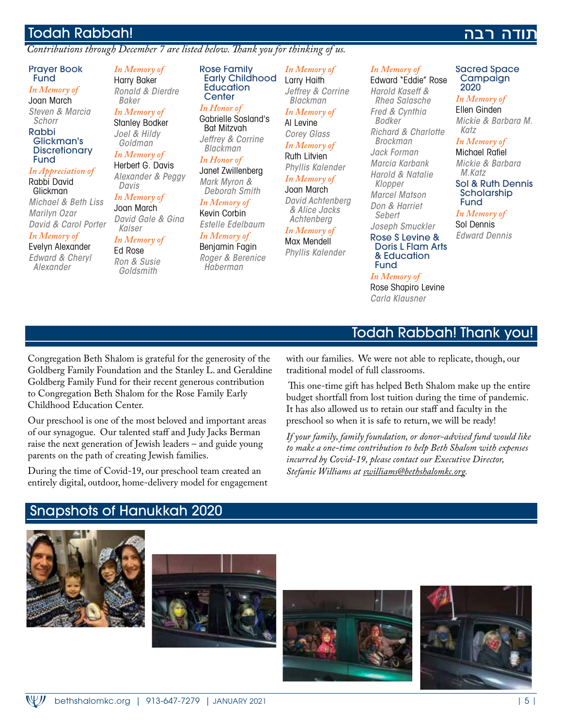### Todah Rabbah!

### *Contributions through December 7 are listed below. Thank you for thinking of us.*

### דה רבה

### Prayer Book Fund

*In Memory of* Joan March *Steven & Marcia* 

*Schorr* Rabbi

#### Glickman's **Discretionary** Fund

#### *In Appreciation of* Rabbi David

Glickman *Michael & Beth Liss Marilyn Ozar David & Carol Porter*

### *In Memory of*

Evelyn Alexander *Edward & Cheryl Alexander*

*In Memory of* Harry Baker *Ronald & Dierdre Baker In Memory of*

Stanley Bodker *Joel & Hildy* 

### *Goldman In Memory of*

Herbert G. Davis *Alexander & Peggy Davis*

*In Memory of* Joan March *David Gale & Gina Kaiser*

### *In Memory of*

Ed Rose *Ron & Susie Goldsmith*

Rose Family Early Childhood **Education Center** 

*In Honor of* Gabrielle Sosland's Bat Mitzvah *Jeffrey & Corrine* 

*Blackman In Honor of* Janet Zwillenberg *Mark Myron &* 

*Deborah Smith In Memory of* Kevin Corbin

*Estelle Edelbaum In Memory of*

Benjamin Fagin *Roger & Berenice Haberman*

#### *In Memory of* Larry Haith *Jeffrey & Corrine*

#### *Blackman In Memory of*

Al Levine

*Corey Glass In Memory of* Ruth Litvien *Phyllis Kalender*

*In Memory of* Joan March

*David Achtenberg & Alice Jacks Achtenberg*

#### *In Memory of* Max Mendell

*Phyllis Kalender*

### *In Memory of*

Edward "Eddie" Rose *Harold Kaseff & Rhea Salasche Fred & Cynthia Bodker Richard & Charlotte Brockman Jack Forman Marcia Karbank Harold & Natalie Klopper Marcel Matson Don & Harriet Sebert Joseph Smuckler* Rose S Levine & Doris L Flam Arts & Education

#### Sacred Space Campaign 2020

*In Memory of*

Ellen Ginden *Mickie & Barbara M. Katz*

### *In Memory of*

Michael Rafiel *Mickie & Barbara* 

#### *M.Katz* Sol & Ruth Dennis **Scholarship** Fund

*In Memory of*

Sol Dennis *Edward Dennis*

# Todah Rabbah! Thank you!

Congregation Beth Shalom is grateful for the generosity of the Goldberg Family Foundation and the Stanley L. and Geraldine Goldberg Family Fund for their recent generous contribution to Congregation Beth Shalom for the Rose Family Early Childhood Education Center.

Our preschool is one of the most beloved and important areas of our synagogue. Our talented staff and Judy Jacks Berman raise the next generation of Jewish leaders – and guide young parents on the path of creating Jewish families.

During the time of Covid-19, our preschool team created an entirely digital, outdoor, home-delivery model for engagement with our families. We were not able to replicate, though, our traditional model of full classrooms.

Fund *In Memory of* Rose Shapiro Levine *Carla Klausner*

 This one-time gift has helped Beth Shalom make up the entire budget shortfall from lost tuition during the time of pandemic. It has also allowed us to retain our staff and faculty in the preschool so when it is safe to return, we will be ready!

*If your family, family foundation, or donor-advised fund would like to make a one-time contribution to help Beth Shalom with expenses incurred by Covid-19, please contact our Executive Director, Stefanie Williams at swilliams@bethshalomkc.org.*

# Snapshots of Hanukkah 2020







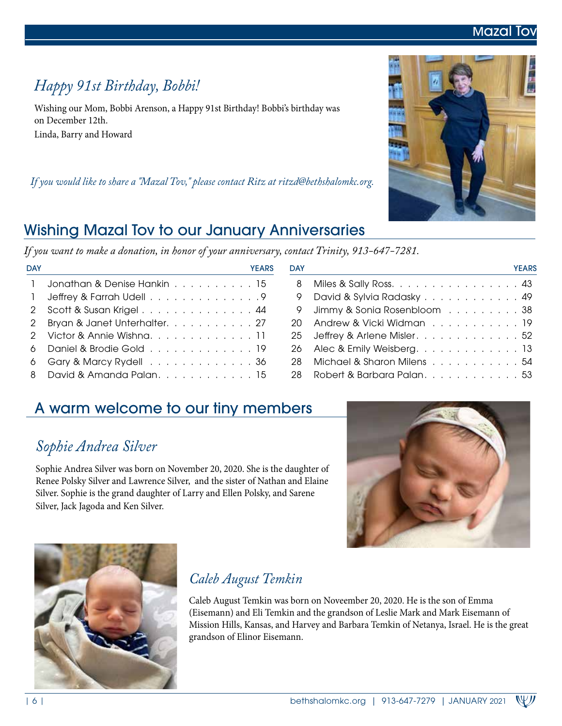# *Happy 91st Birthday, Bobbi!*

Wishing our Mom, Bobbi Arenson, a Happy 91st Birthday! Bobbi's birthday was on December 12th. Linda, Barry and Howard

*If you would like to share a "Mazal Tov," please contact Ritz at ritzd@bethshalomkc.org.*

# Wishing Mazal Tov to our January Anniversaries

*If you want to make a donation, in honor of your anniversary, contact Trinity, 913-647-7281.*

DAY YEARS DAY YEARS

| Jeffrey & Farrah Udell 9 David & Sylvia Radasky 49       |                               |  |
|----------------------------------------------------------|-------------------------------|--|
| 2 Scott & Susan Krigel 44                                | 9 Jimmy & Sonia Rosenbloom 38 |  |
| 2 Bryan & Janet Unterhalter. 27                          | 20 Andrew & Vicki Widman 19   |  |
| 2 Victor & Annie Wishna11                                | 25 Jeffrey & Arlene Misler52  |  |
| 6 Daniel & Brodie Gold 19                                |                               |  |
| 6 Gary & Marcy Rydell 36                                 | 28 Michael & Sharon Milens 54 |  |
| 8 David & Amanda Palan. 15 28 Robert & Barbara Palan. 53 |                               |  |
|                                                          |                               |  |

1 Jonathan & Denise Hankin . . . . . . . . . . 15

# A warm welcome to our tiny members

# *Sophie Andrea Silver*

Sophie Andrea Silver was born on November 20, 2020. She is the daughter of Renee Polsky Silver and Lawrence Silver, and the sister of Nathan and Elaine Silver. Sophie is the grand daughter of Larry and Ellen Polsky, and Sarene Silver, Jack Jagoda and Ken Silver.



Caleb August Temkin was born on Noveember 20, 2020. He is the son of Emma (Eisemann) and Eli Temkin and the grandson of Leslie Mark and Mark Eisemann of Mission Hills, Kansas, and Harvey and Barbara Temkin of Netanya, Israel. He is the great grandson of Elinor Eisemann.





8 Miles & Sally Ross. . . . . . . . . . . . . . . 43

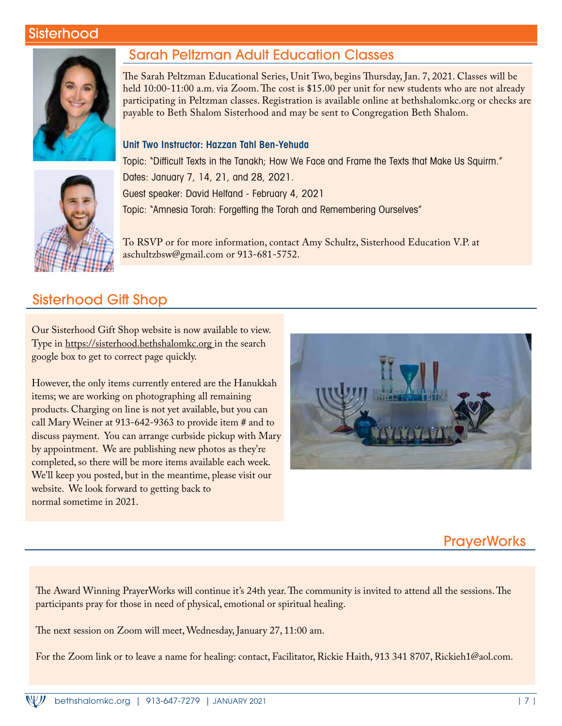### Sisterhood



### Sarah Peltzman Adult Education Classes

The Sarah Peltzman Educational Series, Unit Two, begins Thursday, Jan. 7, 2021. Classes will be held 10:00-11:00 a.m. via Zoom. The cost is \$15.00 per unit for new students who are not already participating in Peltzman classes. Registration is available online at bethshalomkc.org or checks are payable to Beth Shalom Sisterhood and may be sent to Congregation Beth Shalom.

### Unit Two Instructor: Hazzan Tahl Ben-Yehuda



Topic: "Difficult Texts in the Tanakh; How We Face and Frame the Texts that Make Us Squirm." Dates: January 7, 14, 21, and 28, 2021. Guest speaker: David Helfand - February 4, 2021 Topic: "Amnesia Torah: Forgetting the Torah and Remembering Ourselves"

To RSVP or for more information, contact Amy Schultz, Sisterhood Education V.P. at aschultzbsw@gmail.com or 913-681-5752.

### Sisterhood Gift Shop

Our Sisterhood Gift Shop website is now available to view. Type in https://sisterhood.bethshalomkc.org in the search google box to get to correct page quickly.

However, the only items currently entered are the Hanukkah items; we are working on photographing all remaining products. Charging on line is not yet available, but you can call Mary Weiner at 913-642-9363 to provide item # and to discuss payment. You can arrange curbside pickup with Mary by appointment. We are publishing new photos as they're completed, so there will be more items available each week. We'll keep you posted, but in the meantime, please visit our website. We look forward to getting back to normal sometime in 2021.



### **PrayerWorks**

The Award Winning PrayerWorks will continue it's 24th year. The community is invited to attend all the sessions. The participants pray for those in need of physical, emotional or spiritual healing.

The next session on Zoom will meet, Wednesday, January 27, 11:00 am.

For the Zoom link or to leave a name for healing: contact, Facilitator, Rickie Haith, 913 341 8707, Rickieh1@aol.com.